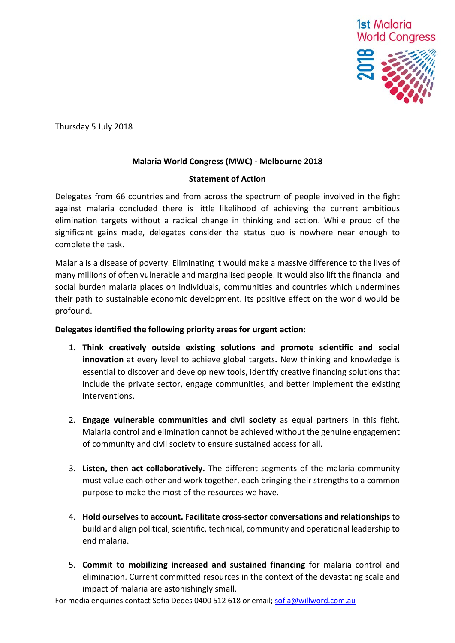

Thursday 5 July 2018

### **Malaria World Congress (MWC) - Melbourne 2018**

### **Statement of Action**

Delegates from 66 countries and from across the spectrum of people involved in the fight against malaria concluded there is little likelihood of achieving the current ambitious elimination targets without a radical change in thinking and action. While proud of the significant gains made, delegates consider the status quo is nowhere near enough to complete the task.

Malaria is a disease of poverty. Eliminating it would make a massive difference to the lives of many millions of often vulnerable and marginalised people. It would also lift the financial and social burden malaria places on individuals, communities and countries which undermines their path to sustainable economic development. Its positive effect on the world would be profound.

### **Delegates identified the following priority areas for urgent action:**

- 1. **Think creatively outside existing solutions and promote scientific and social innovation** at every level to achieve global targets**.** New thinking and knowledge is essential to discover and develop new tools, identify creative financing solutions that include the private sector, engage communities, and better implement the existing interventions.
- 2. **Engage vulnerable communities and civil society** as equal partners in this fight. Malaria control and elimination cannot be achieved without the genuine engagement of community and civil society to ensure sustained access for all.
- 3. **Listen, then act collaboratively.** The different segments of the malaria community must value each other and work together, each bringing their strengths to a common purpose to make the most of the resources we have.
- 4. **Hold ourselves to account. Facilitate cross-sector conversations and relationships** to build and align political, scientific, technical, community and operational leadership to end malaria.
- 5. **Commit to mobilizing increased and sustained financing** for malaria control and elimination. Current committed resources in the context of the devastating scale and impact of malaria are astonishingly small.

For media enquiries contact Sofia Dedes 0400 512 618 or email[; sofia@willword.com.au](mailto:sofia@willword.com.au)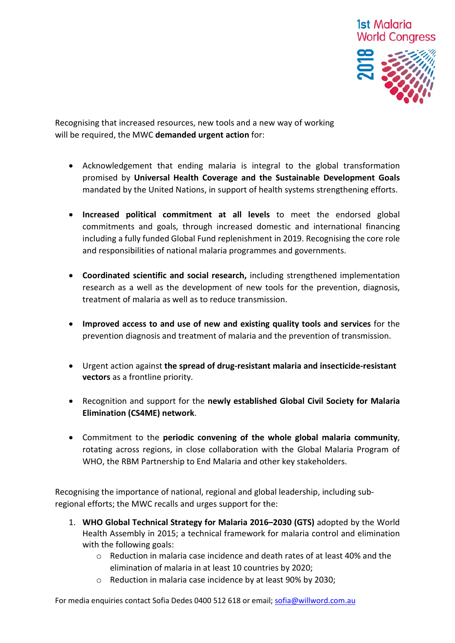

Recognising that increased resources, new tools and a new way of working will be required, the MWC **demanded urgent action** for:

- Acknowledgement that ending malaria is integral to the global transformation promised by **Universal Health Coverage and the Sustainable Development Goals** mandated by the United Nations, in support of health systems strengthening efforts.
- **Increased political commitment at all levels** to meet the endorsed global commitments and goals, through increased domestic and international financing including a fully funded Global Fund replenishment in 2019. Recognising the core role and responsibilities of national malaria programmes and governments.
- **Coordinated scientific and social research,** including strengthened implementation research as a well as the development of new tools for the prevention, diagnosis, treatment of malaria as well as to reduce transmission.
- **Improved access to and use of new and existing quality tools and services** for the prevention diagnosis and treatment of malaria and the prevention of transmission.
- Urgent action against **the spread of drug-resistant malaria and insecticide-resistant vectors** as a frontline priority.
- Recognition and support for the **newly established Global Civil Society for Malaria Elimination (CS4ME) network**.
- Commitment to the **periodic convening of the whole global malaria community**, rotating across regions, in close collaboration with the Global Malaria Program of WHO, the RBM Partnership to End Malaria and other key stakeholders.

Recognising the importance of national, regional and global leadership, including subregional efforts; the MWC recalls and urges support for the:

- 1. **WHO Global Technical Strategy for Malaria 2016–2030 (GTS)** adopted by the World Health Assembly in 2015; a technical framework for malaria control and elimination with the following goals:
	- $\circ$  Reduction in malaria case incidence and death rates of at least 40% and the elimination of malaria in at least 10 countries by 2020;
	- o Reduction in malaria case incidence by at least 90% by 2030;

For media enquiries contact Sofia Dedes 0400 512 618 or email[; sofia@willword.com.au](mailto:sofia@willword.com.au)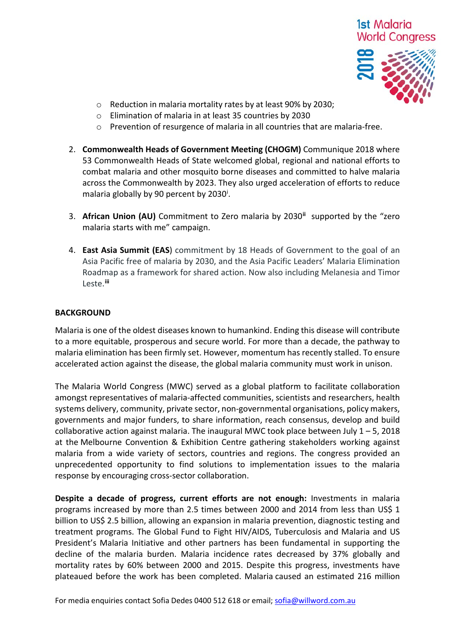# 1st Malaria **World Congress**



- o Reduction in malaria mortality rates by at least 90% by 2030;
- o Elimination of malaria in at least 35 countries by 2030
- o Prevention of resurgence of malaria in all countries that are malaria-free.
- 2. **Commonwealth Heads of Government Meeting (CHOGM)** Communique 2018 where 53 Commonwealth Heads of State welcomed global, regional and national efforts to combat malaria and other mosquito borne diseases and committed to halve malaria across the Commonwealth by 2023. They also urged acceleration of efforts to reduce malar[i](#page-3-0)a globally by 90 percent by 2030<sup>i</sup>.
- 3. **African Union (AU)** Commitment to Zero malaria by 2030**[ii](#page-4-0)** supported by the "zero malaria starts with me" campaign.
- 4. **East Asia Summit (EAS**) commitment by 18 Heads of Government to the goal of an Asia Pacific free of malaria by 2030, and the Asia Pacific Leaders' Malaria Elimination Roadmap as a framework for shared action. Now also including Melanesia and Timor Leste.**[iii](#page-4-1)**

#### **BACKGROUND**

Malaria is one of the oldest diseases known to humankind. Ending this disease will contribute to a more equitable, prosperous and secure world. For more than a decade, the pathway to malaria elimination has been firmly set. However, momentum has recently stalled. To ensure accelerated action against the disease, the global malaria community must work in unison.

The Malaria World Congress (MWC) served as a global platform to facilitate collaboration amongst representatives of malaria-affected communities, scientists and researchers, health systems delivery, community, private sector, non-governmental organisations, policy makers, governments and major funders, to share information, reach consensus, develop and build collaborative action against malaria. The inaugural MWC took place between July  $1 - 5$ , 2018 at the Melbourne Convention & Exhibition Centre gathering stakeholders working against malaria from a wide variety of sectors, countries and regions. The congress provided an unprecedented opportunity to find solutions to implementation issues to the malaria response by encouraging cross-sector collaboration.

**Despite a decade of progress, current efforts are not enough:** Investments in malaria programs increased by more than 2.5 times between 2000 and 2014 from less than US\$ 1 billion to US\$ 2.5 billion, allowing an expansion in malaria prevention, diagnostic testing and treatment programs. The Global Fund to Fight HIV/AIDS, Tuberculosis and Malaria and US President's Malaria Initiative and other partners has been fundamental in supporting the decline of the malaria burden. Malaria incidence rates decreased by 37% globally and mortality rates by 60% between 2000 and 2015. Despite this progress, investments have plateaued before the work has been completed. Malaria caused an estimated 216 million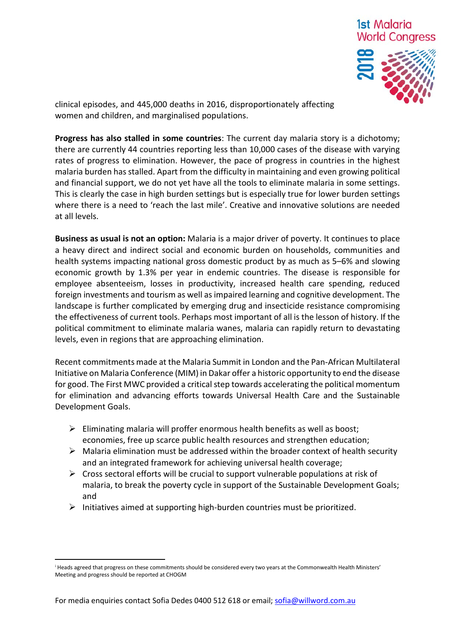

clinical episodes, and 445,000 deaths in 2016, disproportionately affecting women and children, and marginalised populations.

**Progress has also stalled in some countries**: The current day malaria story is a dichotomy; there are currently 44 countries reporting less than 10,000 cases of the disease with varying rates of progress to elimination. However, the pace of progress in countries in the highest malaria burden has stalled. Apart from the difficulty in maintaining and even growing political and financial support, we do not yet have all the tools to eliminate malaria in some settings. This is clearly the case in high burden settings but is especially true for lower burden settings where there is a need to 'reach the last mile'. Creative and innovative solutions are needed at all levels.

**Business as usual is not an option:** Malaria is a major driver of poverty. It continues to place a heavy direct and indirect social and economic burden on households, communities and health systems impacting national gross domestic product by as much as 5–6% and slowing economic growth by 1.3% per year in endemic countries. The disease is responsible for employee absenteeism, losses in productivity, increased health care spending, reduced foreign investments and tourism as well as impaired learning and cognitive development. The landscape is further complicated by emerging drug and insecticide resistance compromising the effectiveness of current tools. Perhaps most important of all is the lesson of history. If the political commitment to eliminate malaria wanes, malaria can rapidly return to devastating levels, even in regions that are approaching elimination.

Recent commitments made at the Malaria Summit in London and the Pan-African Multilateral Initiative on Malaria Conference (MIM) in Dakar offer a historic opportunity to end the disease for good. The First MWC provided a critical step towards accelerating the political momentum for elimination and advancing efforts towards Universal Health Care and the Sustainable Development Goals.

- $\triangleright$  Eliminating malaria will proffer enormous health benefits as well as boost; economies, free up scarce public health resources and strengthen education;
- $\triangleright$  Malaria elimination must be addressed within the broader context of health security and an integrated framework for achieving universal health coverage;
- $\triangleright$  Cross sectoral efforts will be crucial to support vulnerable populations at risk of malaria, to break the poverty cycle in support of the Sustainable Development Goals; and
- $\triangleright$  Initiatives aimed at supporting high-burden countries must be prioritized.

**.** 

<span id="page-3-0"></span><sup>i</sup> Heads agreed that progress on these commitments should be considered every two years at the Commonwealth Health Ministers' Meeting and progress should be reported at CHOGM